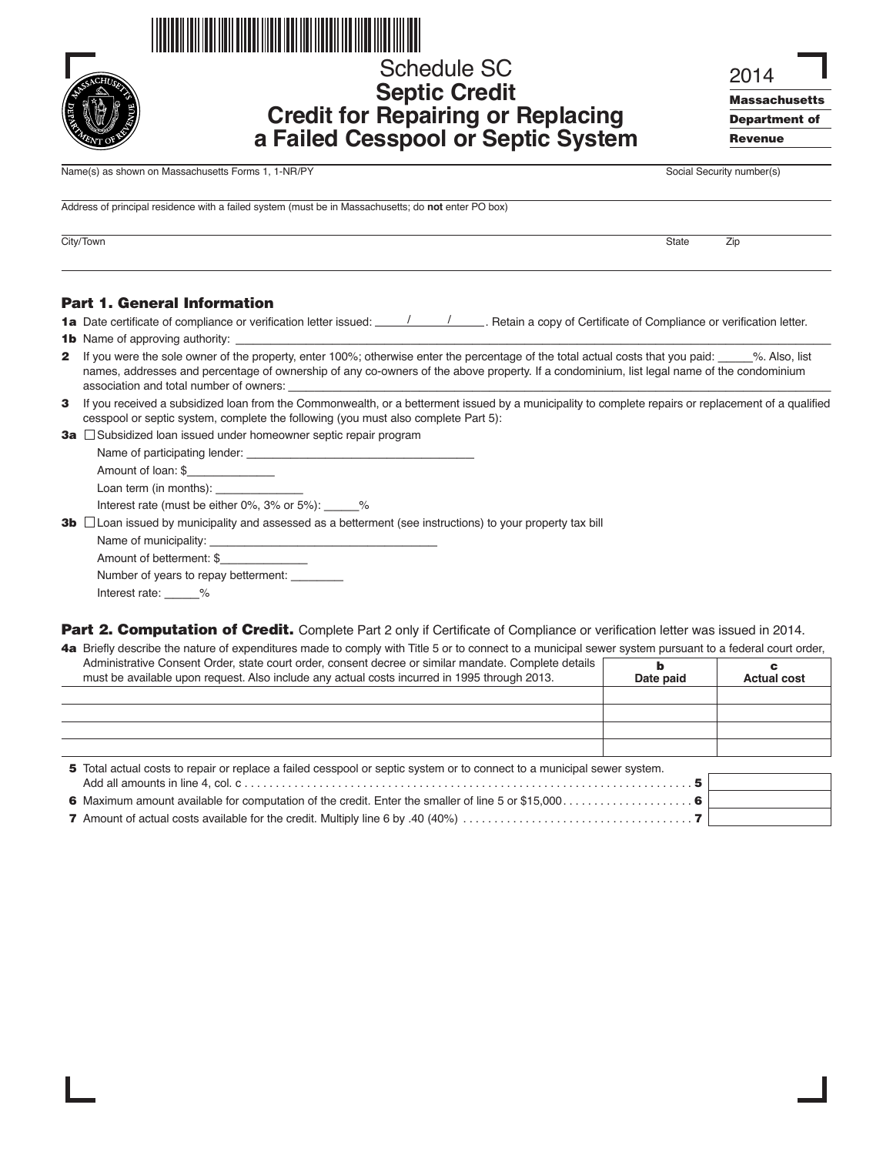

# Schedule SC **Septic Credit Credit for Repairing or Replacing a Failed Cesspool or Septic System**

2014

**Massachusetts Department of Revenue**

Name(s) as shown on Massachusetts Forms 1, 1-NR/PY Social Security number(s)

Address of principal residence with a failed system (must be in Massachusetts; do **not** enter PO box)

City/Town State Zip

#### **Part 1. General Information**

**1a** Date certificate of compliance or verification letter issued: / / . Retain a copy of Certificate of Compliance or verification letter.

- **2** If you were the sole owner of the property, enter 100%; otherwise enter the percentage of the total actual costs that you paid: \_\_\_\_%. Also, list names, addresses and percentage of ownership of any co-owners of the above property. If a condominium, list legal name of the condominium association and total number of owners:
- **3** If you received a subsidized loan from the Commonwealth, or a betterment issued by a municipality to complete repairs or replacement of a qualified cesspool or septic system, complete the following (you must also complete Part 5):
- **3a** Subsidized loan issued under homeowner septic repair program

Name of participating lender: \_ Amount of loan: \$ Loan term (in months): \_

Interest rate (must be either 0%, 3% or 5%): \_\_\_\_\_%

**3b**  $\Box$  Loan issued by municipality and assessed as a betterment (see instructions) to your property tax bill

Name of municipality: Amount of betterment: \$\_\_\_\_\_\_\_\_\_\_ Number of years to repay betterment: \_\_\_\_\_\_ Interest rate: %

**Part 2. Computation of Credit.** Complete Part 2 only if Certificate of Compliance or verification letter was issued in 2014.

| 4a Briefly describe the nature of expenditures made to comply with Title 5 or to connect to a municipal sewer system pursuant to a federal court order,                                              |           |                    |  |
|------------------------------------------------------------------------------------------------------------------------------------------------------------------------------------------------------|-----------|--------------------|--|
| Administrative Consent Order, state court order, consent decree or similar mandate. Complete details<br>must be available upon request. Also include any actual costs incurred in 1995 through 2013. | Date paid | <b>Actual cost</b> |  |
|                                                                                                                                                                                                      |           |                    |  |
|                                                                                                                                                                                                      |           |                    |  |
|                                                                                                                                                                                                      |           |                    |  |
|                                                                                                                                                                                                      |           |                    |  |

| 5 Total actual costs to repair or replace a failed cesspool or septic system or to connect to a municipal sewer system. |  |  |
|-------------------------------------------------------------------------------------------------------------------------|--|--|
|                                                                                                                         |  |  |
|                                                                                                                         |  |  |
|                                                                                                                         |  |  |

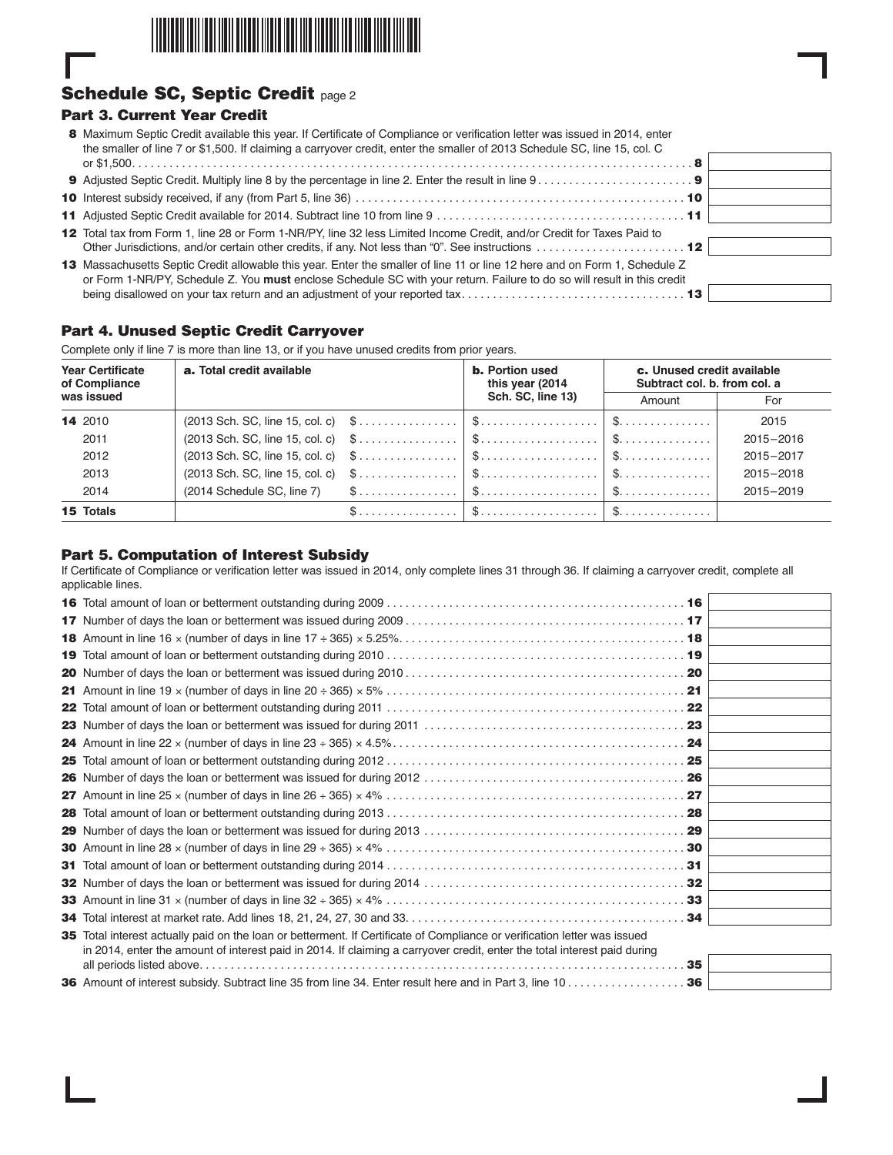

# **Schedule SC, Septic Credit** page 2

# **Part 3. Current Year Credit**

| 8 Maximum Septic Credit available this year. If Certificate of Compliance or verification letter was issued in 2014, enter |  |
|----------------------------------------------------------------------------------------------------------------------------|--|
| the smaller of line 7 or \$1,500. If claiming a carryover credit, enter the smaller of 2013 Schedule SC, line 15, col. C   |  |
|                                                                                                                            |  |

- **10** Interest subsidy received, if any (from Part 5, line 36) . . . . . . . . . . . . . . . . . . . . . . . . . . . . . . . . . . . . . . . . . . . . . . . . . . . . . **10**
- **11** Adjusted Septic Credit available for 2014. Subtract line 10 from line 9 . . . . . . . . . . . . . . . . . . . . . . . . . . . . . . . . . . . . . . . . **11**
- **12** Total tax from Form 1, line 28 or Form 1-NR/PY, line 32 less Limited Income Credit, and/or Credit for Taxes Paid to Other Jurisdictions, and/or certain other credits, if any. Not less than "0". See instructions . . . . . . . . . . . . . . . . . . . . . . . . **12**
- 13 Massachusetts Septic Credit allowable this year. Enter the smaller of line 11 or line 12 here and on Form 1, Schedule Z or Form 1-NR/PY, Schedule Z. You **must** enclose Schedule SC with your return. Failure to do so will result in this credit being disallowed on your tax return and an adjustment of your reported tax. . . . . . . . . . . . . . . . . . . . . . . . . . . . . . . . . . . . **13**

# **Part 4. Unused Septic Credit Carryover**

Complete only if line 7 is more than line 13, or if you have unused credits from prior years.

| <b>Year Certificate</b><br>of Compliance | a. Total credit available |  | <b>b.</b> Portion used<br>this year (2014)<br>Sch. SC, line 13)                                             | c. Unused credit available<br>Subtract col. b. from col. a |           |
|------------------------------------------|---------------------------|--|-------------------------------------------------------------------------------------------------------------|------------------------------------------------------------|-----------|
| was issued                               |                           |  |                                                                                                             | Amount                                                     | For       |
| 14 2010                                  |                           |  |                                                                                                             |                                                            | 2015      |
| 2011                                     |                           |  |                                                                                                             |                                                            | 2015-2016 |
| 2012                                     |                           |  |                                                                                                             |                                                            | 2015-2017 |
| 2013                                     |                           |  |                                                                                                             |                                                            | 2015-2018 |
| 2014                                     |                           |  |                                                                                                             |                                                            | 2015-2019 |
| 15 Totals                                |                           |  | $\$\ldots\ldots\ldots\ldots\; \; \$\ldots\ldots\ldots\ldots\ldots\; \; \$\ldots\ldots\ldots\ldots\ldots\; $ |                                                            |           |

# **Part 5. Computation of Interest Subsidy**

If Certificate of Compliance or verification letter was issued in 2014, only complete lines 31 through 36. If claiming a carryover credit, complete all applicable lines.

| 35 Total interest actually paid on the loan or betterment. If Certificate of Compliance or verification letter was issued |                 |
|---------------------------------------------------------------------------------------------------------------------------|-----------------|
| in 2014, enter the amount of interest paid in 2014. If claiming a carryover credit, enter the total interest paid during  |                 |
|                                                                                                                           | 35 <sub>1</sub> |
|                                                                                                                           |                 |